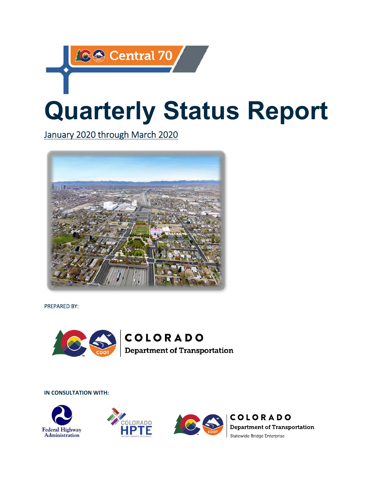# **Quarterly Status Report**

January 2020 through March 2020

**89 Central 70** 



PREPARED BY:



COLORADO **Department of Transportation** 

**IN CONSULTATION WITH:** 







**COLORADO Department of Transportation** Statewide Bridge Enterprise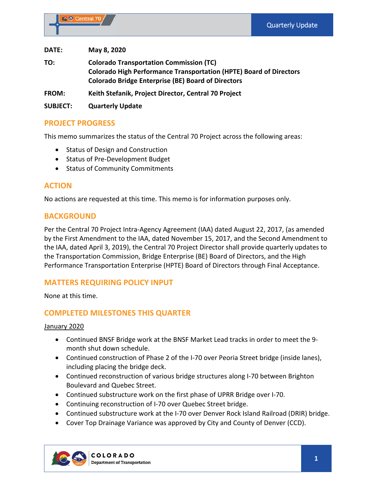**DATE: May 8, 2020** 

**TO: Colorado Transportation Commission (TC) Colorado High Performance Transportation (HPTE) Board of Directors Colorado Bridge Enterprise (BE) Board of Directors** 

**FROM: Keith Stefanik, Project Director, Central 70 Project** 

**SUBJECT: Quarterly Update** 

#### **PROJECT PROGRESS**

This memo summarizes the status of the Central 70 Project across the following areas:

- Status of Design and Construction
- Status of Pre-Development Budget
- Status of Community Commitments

# **ACTION**

No actions are requested at this time. This memo is for information purposes only.

#### **BACKGROUND**

Per the Central 70 Project Intra‐Agency Agreement (IAA) dated August 22, 2017, (as amended by the First Amendment to the IAA, dated November 15, 2017, and the Second Amendment to the IAA, dated April 3, 2019), the Central 70 Project Director shall provide quarterly updates to the Transportation Commission, Bridge Enterprise (BE) Board of Directors, and the High Performance Transportation Enterprise (HPTE) Board of Directors through Final Acceptance.

# **MATTERS REQUIRING POLICY INPUT**

None at this time.

# **COMPLETED MILESTONES THIS QUARTER**

#### January 2020

- Continued BNSF Bridge work at the BNSF Market Lead tracks in order to meet the 9month shut down schedule.
- Continued construction of Phase 2 of the I‐70 over Peoria Street bridge (inside lanes), including placing the bridge deck.
- Continued reconstruction of various bridge structures along I‐70 between Brighton Boulevard and Quebec Street.
- Continued substructure work on the first phase of UPRR Bridge over I‐70.
- Continuing reconstruction of I-70 over Quebec Street bridge.
- Continued substructure work at the I-70 over Denver Rock Island Railroad (DRIR) bridge.
- Cover Top Drainage Variance was approved by City and County of Denver (CCD).

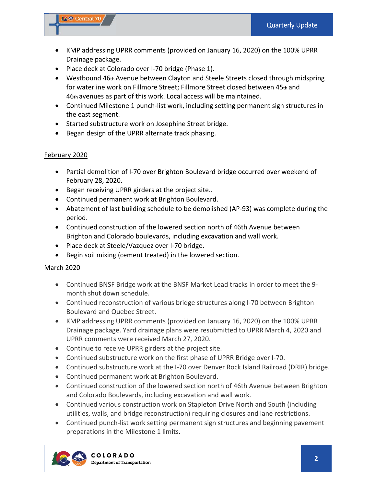#### **C** Central 70

- KMP addressing UPRR comments (provided on January 16, 2020) on the 100% UPRR Drainage package.
- Place deck at Colorado over I-70 bridge (Phase 1).
- Westbound 46th Avenue between Clayton and Steele Streets closed through midspring for waterline work on Fillmore Street; Fillmore Street closed between 45th and 46th avenues as part of this work. Local access will be maintained.
- Continued Milestone 1 punch-list work, including setting permanent sign structures in the east segment.
- Started substructure work on Josephine Street bridge.
- Began design of the UPRR alternate track phasing.

#### February 2020

- Partial demolition of I-70 over Brighton Boulevard bridge occurred over weekend of February 28, 2020.
- Began receiving UPRR girders at the project site..
- Continued permanent work at Brighton Boulevard.
- Abatement of last building schedule to be demolished (AP‐93) was complete during the period.
- Continued construction of the lowered section north of 46th Avenue between Brighton and Colorado boulevards, including excavation and wall work.
- Place deck at Steele/Vazquez over I-70 bridge.
- Begin soil mixing (cement treated) in the lowered section.

#### March 2020

- Continued BNSF Bridge work at the BNSF Market Lead tracks in order to meet the 9month shut down schedule.
- Continued reconstruction of various bridge structures along I-70 between Brighton Boulevard and Quebec Street.
- KMP addressing UPRR comments (provided on January 16, 2020) on the 100% UPRR Drainage package. Yard drainage plans were resubmitted to UPRR March 4, 2020 and UPRR comments were received March 27, 2020.
- Continue to receive UPRR girders at the project site.
- Continued substructure work on the first phase of UPRR Bridge over I‐70.
- Continued substructure work at the I-70 over Denver Rock Island Railroad (DRIR) bridge.
- Continued permanent work at Brighton Boulevard.
- Continued construction of the lowered section north of 46th Avenue between Brighton and Colorado Boulevards, including excavation and wall work.
- Continued various construction work on Stapleton Drive North and South (including utilities, walls, and bridge reconstruction) requiring closures and lane restrictions.
- Continued punch-list work setting permanent sign structures and beginning pavement preparations in the Milestone 1 limits.

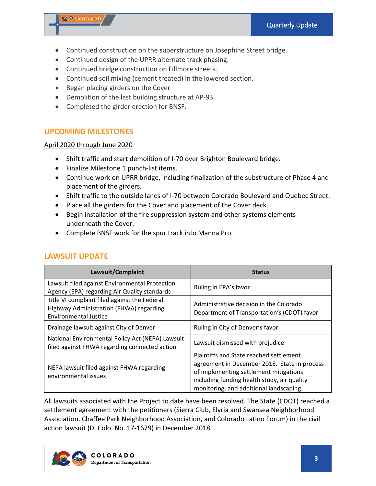#### **C** Central 70

- Continued construction on the superstructure on Josephine Street bridge.
- Continued design of the UPRR alternate track phasing.
- Continued bridge construction on Fillmore streets.
- Continued soil mixing (cement treated) in the lowered section.
- Began placing girders on the Cover
- Demolition of the last building structure at AP-93.
- Completed the girder erection for BNSF.

# **UPCOMING MILESTONES**

#### April 2020 through June 2020

- Shift traffic and start demolition of I-70 over Brighton Boulevard bridge.
- Finalize Milestone 1 punch-list items.
- Continue work on UPRR bridge, including finalization of the substructure of Phase 4 and placement of the girders.
- Shift traffic to the outside lanes of I‐70 between Colorado Boulevard and Quebec Street.
- Place all the girders for the Cover and placement of the Cover deck.
- Begin installation of the fire suppression system and other systems elements underneath the Cover.
- Complete BNSF work for the spur track into Manna Pro.

| Lawsuit/Complaint                                                                                                       | <b>Status</b>                                                                                                                                                                                                               |
|-------------------------------------------------------------------------------------------------------------------------|-----------------------------------------------------------------------------------------------------------------------------------------------------------------------------------------------------------------------------|
| Lawsuit filed against Environmental Protection<br>Agency (EPA) regarding Air Quality standards                          | Ruling in EPA's favor                                                                                                                                                                                                       |
| Title VI complaint filed against the Federal<br>Highway Administration (FHWA) regarding<br><b>Environmental Justice</b> | Administrative decision in the Colorado<br>Department of Transportation's (CDOT) favor                                                                                                                                      |
| Drainage lawsuit against City of Denver                                                                                 | Ruling in City of Denver's favor                                                                                                                                                                                            |
| National Environmental Policy Act (NEPA) Lawsuit<br>filed against FHWA regarding connected action                       | Lawsuit dismissed with prejudice                                                                                                                                                                                            |
| NEPA lawsuit filed against FHWA regarding<br>environmental issues                                                       | Plaintiffs and State reached settlement<br>agreement in December 2018. State in process<br>of implementing settlement mitigations<br>including funding health study, air quality<br>monitoring, and additional landscaping. |

# **LAWSUIT UPDATE**

All lawsuits associated with the Project to date have been resolved. The State (CDOT) reached a settlement agreement with the petitioners (Sierra Club, Elyria and Swansea Neighborhood Association, Chaffee Park Neighborhood Association, and Colorado Latino Forum) in the civil action lawsuit (D. Colo. No. 17‐1679) in December 2018.

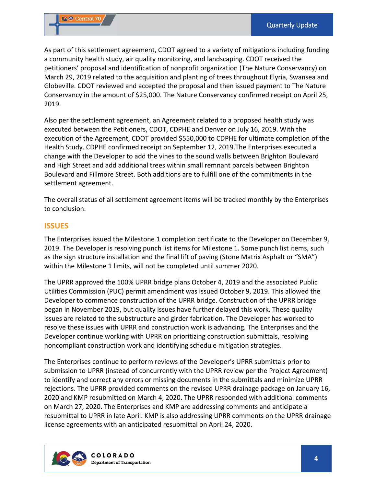As part of this settlement agreement, CDOT agreed to a variety of mitigations including funding a community health study, air quality monitoring, and landscaping. CDOT received the petitioners' proposal and identification of nonprofit organization (The Nature Conservancy) on March 29, 2019 related to the acquisition and planting of trees throughout Elyria, Swansea and Globeville. CDOT reviewed and accepted the proposal and then issued payment to The Nature Conservancy in the amount of \$25,000. The Nature Conservancy confirmed receipt on April 25, 2019.

Also per the settlement agreement, an Agreement related to a proposed health study was executed between the Petitioners, CDOT, CDPHE and Denver on July 16, 2019. With the execution of the Agreement, CDOT provided \$550,000 to CDPHE for ultimate completion of the Health Study. CDPHE confirmed receipt on September 12, 2019.The Enterprises executed a change with the Developer to add the vines to the sound walls between Brighton Boulevard and High Street and add additional trees within small remnant parcels between Brighton Boulevard and Fillmore Street. Both additions are to fulfill one of the commitments in the settlement agreement.

The overall status of all settlement agreement items will be tracked monthly by the Enterprises to conclusion.

#### **ISSUES**

The Enterprises issued the Milestone 1 completion certificate to the Developer on December 9, 2019. The Developer is resolving punch list items for Milestone 1. Some punch list items, such as the sign structure installation and the final lift of paving (Stone Matrix Asphalt or "SMA") within the Milestone 1 limits, will not be completed until summer 2020.

The UPRR approved the 100% UPRR bridge plans October 4, 2019 and the associated Public Utilities Commission (PUC) permit amendment was issued October 9, 2019. This allowed the Developer to commence construction of the UPRR bridge. Construction of the UPRR bridge began in November 2019, but quality issues have further delayed this work. These quality issues are related to the substructure and girder fabrication. The Developer has worked to resolve these issues with UPRR and construction work is advancing. The Enterprises and the Developer continue working with UPRR on prioritizing construction submittals, resolving noncompliant construction work and identifying schedule mitigation strategies.

The Enterprises continue to perform reviews of the Developer's UPRR submittals prior to submission to UPRR (instead of concurrently with the UPRR review per the Project Agreement) to identify and correct any errors or missing documents in the submittals and minimize UPRR rejections. The UPRR provided comments on the revised UPRR drainage package on January 16, 2020 and KMP resubmitted on March 4, 2020. The UPRR responded with additional comments on March 27, 2020. The Enterprises and KMP are addressing comments and anticipate a resubmittal to UPRR in late April. KMP is also addressing UPRR comments on the UPRR drainage license agreements with an anticipated resubmittal on April 24, 2020.

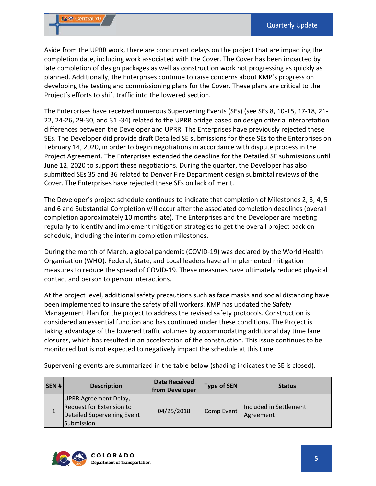Aside from the UPRR work, there are concurrent delays on the project that are impacting the completion date, including work associated with the Cover. The Cover has been impacted by late completion of design packages as well as construction work not progressing as quickly as planned. Additionally, the Enterprises continue to raise concerns about KMP's progress on developing the testing and commissioning plans for the Cover. These plans are critical to the Project's efforts to shift traffic into the lowered section.

The Enterprises have received numerous Supervening Events (SEs) (see SEs 8, 10‐15, 17‐18, 21‐ 22, 24‐26, 29‐30, and 31 ‐34) related to the UPRR bridge based on design criteria interpretation differences between the Developer and UPRR. The Enterprises have previously rejected these SEs. The Developer did provide draft Detailed SE submissions for these SEs to the Enterprises on February 14, 2020, in order to begin negotiations in accordance with dispute process in the Project Agreement. The Enterprises extended the deadline for the Detailed SE submissions until June 12, 2020 to support these negotiations. During the quarter, the Developer has also submitted SEs 35 and 36 related to Denver Fire Department design submittal reviews of the Cover. The Enterprises have rejected these SEs on lack of merit.

The Developer's project schedule continues to indicate that completion of Milestones 2, 3, 4, 5 and 6 and Substantial Completion will occur after the associated completion deadlines (overall completion approximately 10 months late). The Enterprises and the Developer are meeting regularly to identify and implement mitigation strategies to get the overall project back on schedule, including the interim completion milestones.

During the month of March, a global pandemic (COVID‐19) was declared by the World Health Organization (WHO). Federal, State, and Local leaders have all implemented mitigation measures to reduce the spread of COVID‐19. These measures have ultimately reduced physical contact and person to person interactions.

At the project level, additional safety precautions such as face masks and social distancing have been implemented to insure the safety of all workers. KMP has updated the Safety Management Plan for the project to address the revised safety protocols. Construction is considered an essential function and has continued under these conditions. The Project is taking advantage of the lowered traffic volumes by accommodating additional day time lane closures, which has resulted in an acceleration of the construction. This issue continues to be monitored but is not expected to negatively impact the schedule at this time

Supervening events are summarized in the table below (shading indicates the SE is closed).

| SEN# | <b>Description</b>                                                                            | <b>Date Received</b><br>from Developer | <b>Type of SEN</b> | <b>Status</b>                       |
|------|-----------------------------------------------------------------------------------------------|----------------------------------------|--------------------|-------------------------------------|
| 1    | UPRR Agreement Delay,<br>Request for Extension to<br>Detailed Supervening Event<br>Submission | 04/25/2018                             | Comp Event         | Included in Settlement<br>Agreement |

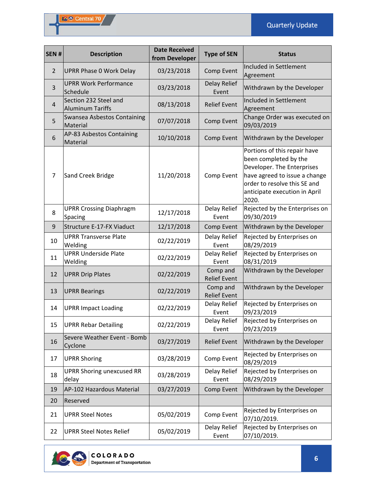| SEN#           | <b>Description</b>                               | <b>Date Received</b><br>from Developer | <b>Type of SEN</b>              | <b>Status</b>                                                                                                                                                                                  |
|----------------|--------------------------------------------------|----------------------------------------|---------------------------------|------------------------------------------------------------------------------------------------------------------------------------------------------------------------------------------------|
| $\overline{2}$ | <b>UPRR Phase 0 Work Delay</b>                   | 03/23/2018                             | Comp Event                      | Included in Settlement<br>Agreement                                                                                                                                                            |
| 3              | <b>UPRR Work Performance</b><br>Schedule         | 03/23/2018                             | Delay Relief<br>Event           | Withdrawn by the Developer                                                                                                                                                                     |
| $\overline{4}$ | Section 232 Steel and<br><b>Aluminum Tariffs</b> | 08/13/2018                             | <b>Relief Event</b>             | Included in Settlement<br>Agreement                                                                                                                                                            |
| 5              | <b>Swansea Asbestos Containing</b><br>Material   | 07/07/2018                             | Comp Event                      | Change Order was executed on<br>09/03/2019                                                                                                                                                     |
| 6              | AP-83 Asbestos Containing<br>Material            | 10/10/2018                             | Comp Event                      | Withdrawn by the Developer                                                                                                                                                                     |
| 7              | Sand Creek Bridge                                | 11/20/2018                             | Comp Event                      | Portions of this repair have<br>been completed by the<br>Developer. The Enterprises<br>have agreed to issue a change<br>order to resolve this SE and<br>anticipate execution in April<br>2020. |
| 8              | <b>UPRR Crossing Diaphragm</b><br>Spacing        | 12/17/2018                             | Delay Relief<br>Event           | Rejected by the Enterprises on<br>09/30/2019                                                                                                                                                   |
| 9              | Structure E-17-FX Viaduct                        | 12/17/2018                             | Comp Event                      | Withdrawn by the Developer                                                                                                                                                                     |
| 10             | <b>UPRR Transverse Plate</b><br>Welding          | 02/22/2019                             | Delay Relief<br>Event           | Rejected by Enterprises on<br>08/29/2019                                                                                                                                                       |
| 11             | <b>UPRR Underside Plate</b><br>Welding           | 02/22/2019                             | Delay Relief<br>Event           | Rejected by Enterprises on<br>08/31/2019                                                                                                                                                       |
| 12             | <b>UPRR Drip Plates</b>                          | 02/22/2019                             | Comp and<br><b>Relief Event</b> | Withdrawn by the Developer                                                                                                                                                                     |
| 13             | <b>UPRR Bearings</b>                             | 02/22/2019                             | Comp and<br><b>Relief Event</b> | Withdrawn by the Developer                                                                                                                                                                     |
| 14             | <b>UPRR Impact Loading</b>                       | 02/22/2019                             | Delay Relief<br>Event           | Rejected by Enterprises on<br>09/23/2019                                                                                                                                                       |
| 15             | <b>UPRR Rebar Detailing</b>                      | 02/22/2019                             | Delay Relief<br>Event           | Rejected by Enterprises on<br>09/23/2019                                                                                                                                                       |
| 16             | Severe Weather Event - Bomb<br>Cyclone           | 03/27/2019                             | <b>Relief Event</b>             | Withdrawn by the Developer                                                                                                                                                                     |
| 17             | <b>UPRR Shoring</b>                              | 03/28/2019                             | Comp Event                      | Rejected by Enterprises on<br>08/29/2019                                                                                                                                                       |
| 18             | <b>UPRR Shoring unexcused RR</b><br>delay        | 03/28/2019                             | Delay Relief<br>Event           | Rejected by Enterprises on<br>08/29/2019                                                                                                                                                       |
| 19             | AP-102 Hazardous Material                        | 03/27/2019                             | Comp Event                      | Withdrawn by the Developer                                                                                                                                                                     |
| 20             | Reserved                                         |                                        |                                 |                                                                                                                                                                                                |
| 21             | <b>UPRR Steel Notes</b>                          | 05/02/2019                             | Comp Event                      | Rejected by Enterprises on<br>07/10/2019.                                                                                                                                                      |
| 22             | <b>UPRR Steel Notes Relief</b>                   | 05/02/2019                             | Delay Relief<br>Event           | Rejected by Enterprises on<br>07/10/2019.                                                                                                                                                      |

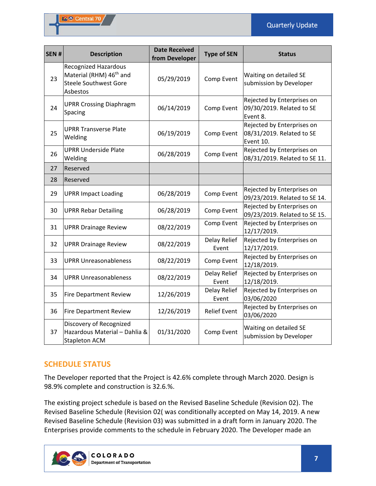Quarterly Update

| SEN# | <b>Description</b>                                                                                             | <b>Date Received</b><br>from Developer | <b>Type of SEN</b>    | <b>Status</b>                                                        |
|------|----------------------------------------------------------------------------------------------------------------|----------------------------------------|-----------------------|----------------------------------------------------------------------|
| 23   | <b>Recognized Hazardous</b><br>Material (RHM) 46 <sup>th</sup> and<br><b>Steele Southwest Gore</b><br>Asbestos | 05/29/2019                             | Comp Event            | Waiting on detailed SE<br>submission by Developer                    |
| 24   | <b>UPRR Crossing Diaphragm</b><br>Spacing                                                                      | 06/14/2019                             | Comp Event            | Rejected by Enterprises on<br>09/30/2019. Related to SE<br>Event 8.  |
| 25   | <b>UPRR Transverse Plate</b><br>Welding                                                                        | 06/19/2019                             | Comp Event            | Rejected by Enterprises on<br>08/31/2019. Related to SE<br>Event 10. |
| 26   | <b>UPRR Underside Plate</b><br>Welding                                                                         | 06/28/2019                             | Comp Event            | Rejected by Enterprises on<br>08/31/2019. Related to SE 11.          |
| 27   | Reserved                                                                                                       |                                        |                       |                                                                      |
| 28   | Reserved                                                                                                       |                                        |                       |                                                                      |
| 29   | <b>UPRR Impact Loading</b>                                                                                     | 06/28/2019                             | Comp Event            | Rejected by Enterprises on<br>09/23/2019. Related to SE 14.          |
| 30   | <b>UPRR Rebar Detailing</b>                                                                                    | 06/28/2019                             | Comp Event            | Rejected by Enterprises on<br>09/23/2019. Related to SE 15.          |
| 31   | <b>UPRR Drainage Review</b>                                                                                    | 08/22/2019                             | Comp Event            | Rejected by Enterprises on<br>12/17/2019.                            |
| 32   | <b>UPRR Drainage Review</b>                                                                                    | 08/22/2019                             | Delay Relief<br>Event | Rejected by Enterprises on<br>12/17/2019.                            |
| 33   | <b>UPRR Unreasonableness</b>                                                                                   | 08/22/2019                             | Comp Event            | Rejected by Enterprises on<br>12/18/2019.                            |
| 34   | <b>UPRR Unreasonableness</b>                                                                                   | 08/22/2019                             | Delay Relief<br>Event | Rejected by Enterprises on<br>12/18/2019.                            |
| 35   | <b>Fire Department Review</b>                                                                                  | 12/26/2019                             | Delay Relief<br>Event | Rejected by Enterprises on<br>03/06/2020                             |
| 36   | <b>Fire Department Review</b>                                                                                  | 12/26/2019                             | <b>Relief Event</b>   | Rejected by Enterprises on<br>03/06/2020                             |
| 37   | Discovery of Recognized<br>Hazardous Material - Dahlia &<br><b>Stapleton ACM</b>                               | 01/31/2020                             | Comp Event            | Waiting on detailed SE<br>submission by Developer                    |

# **SCHEDULE STATUS**

The Developer reported that the Project is 42.6% complete through March 2020. Design is 98.9% complete and construction is 32.6.%.

The existing project schedule is based on the Revised Baseline Schedule (Revision 02). The Revised Baseline Schedule (Revision 02( was conditionally accepted on May 14, 2019. A new Revised Baseline Schedule (Revision 03) was submitted in a draft form in January 2020. The Enterprises provide comments to the schedule in February 2020. The Developer made an

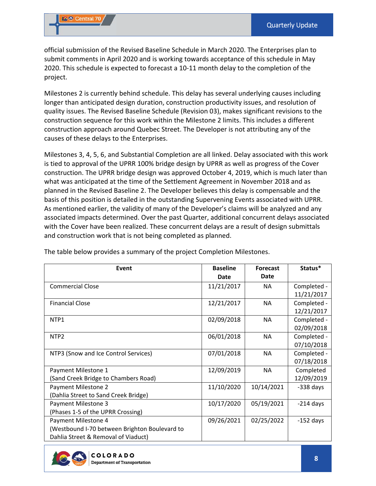official submission of the Revised Baseline Schedule in March 2020. The Enterprises plan to submit comments in April 2020 and is working towards acceptance of this schedule in May 2020. This schedule is expected to forecast a 10‐11 month delay to the completion of the project.

Milestones 2 is currently behind schedule. This delay has several underlying causes including longer than anticipated design duration, construction productivity issues, and resolution of quality issues. The Revised Baseline Schedule (Revision 03), makes significant revisions to the construction sequence for this work within the Milestone 2 limits. This includes a different construction approach around Quebec Street. The Developer is not attributing any of the causes of these delays to the Enterprises.

Milestones 3, 4, 5, 6, and Substantial Completion are all linked. Delay associated with this work is tied to approval of the UPRR 100% bridge design by UPRR as well as progress of the Cover construction. The UPRR bridge design was approved October 4, 2019, which is much later than what was anticipated at the time of the Settlement Agreement in November 2018 and as planned in the Revised Baseline 2. The Developer believes this delay is compensable and the basis of this position is detailed in the outstanding Supervening Events associated with UPRR. As mentioned earlier, the validity of many of the Developer's claims will be analyzed and any associated impacts determined. Over the past Quarter, additional concurrent delays associated with the Cover have been realized. These concurrent delays are a result of design submittals and construction work that is not being completed as planned.

| Event                                         | <b>Baseline</b> | <b>Forecast</b> | Status*     |
|-----------------------------------------------|-----------------|-----------------|-------------|
|                                               | Date            | Date            |             |
| <b>Commercial Close</b>                       | 11/21/2017      | NA              | Completed - |
|                                               |                 |                 | 11/21/2017  |
| <b>Financial Close</b>                        | 12/21/2017      | NA              | Completed - |
|                                               |                 |                 | 12/21/2017  |
| NTP1                                          | 02/09/2018      | NA              | Completed - |
|                                               |                 |                 | 02/09/2018  |
| NTP <sub>2</sub>                              | 06/01/2018      | <b>NA</b>       | Completed - |
|                                               |                 |                 | 07/10/2018  |
| NTP3 (Snow and Ice Control Services)          | 07/01/2018      | NA              | Completed - |
|                                               |                 |                 | 07/18/2018  |
| Payment Milestone 1                           | 12/09/2019      | <b>NA</b>       | Completed   |
| (Sand Creek Bridge to Chambers Road)          |                 |                 | 12/09/2019  |
| Payment Milestone 2                           | 11/10/2020      | 10/14/2021      | $-338$ days |
| (Dahlia Street to Sand Creek Bridge)          |                 |                 |             |
| Payment Milestone 3                           | 10/17/2020      | 05/19/2021      | $-214$ days |
| (Phases 1-5 of the UPRR Crossing)             |                 |                 |             |
| Payment Milestone 4                           | 09/26/2021      | 02/25/2022      | $-152$ days |
| (Westbound I-70 between Brighton Boulevard to |                 |                 |             |
| Dahlia Street & Removal of Viaduct)           |                 |                 |             |

The table below provides a summary of the project Completion Milestones.

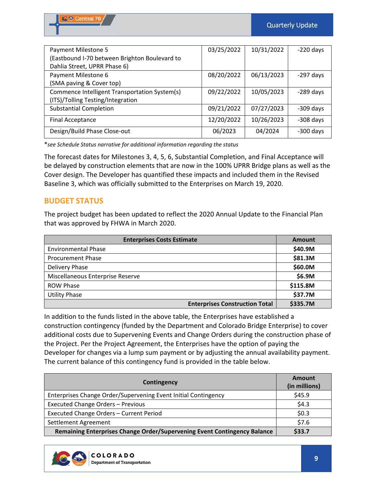| Payment Milestone 5                           | 03/25/2022 | 10/31/2022 | $-220$ days |
|-----------------------------------------------|------------|------------|-------------|
| (Eastbound I-70 between Brighton Boulevard to |            |            |             |
| Dahlia Street, UPRR Phase 6)                  |            |            |             |
| Payment Milestone 6                           | 08/20/2022 | 06/13/2023 | $-297$ days |
| (SMA paving & Cover top)                      |            |            |             |
| Commence Intelligent Transportation System(s) | 09/22/2022 | 10/05/2023 | $-289$ days |
| (ITS)/Tolling Testing/Integration             |            |            |             |
| <b>Substantial Completion</b>                 | 09/21/2022 | 07/27/2023 | $-309$ days |
| <b>Final Acceptance</b>                       | 12/20/2022 | 10/26/2023 | $-308$ days |
| Design/Build Phase Close-out                  | 06/2023    | 04/2024    | $-300$ days |

\**see Schedule Status narrative for additional information regarding the status* 

The forecast dates for Milestones 3, 4, 5, 6, Substantial Completion, and Final Acceptance will be delayed by construction elements that are now in the 100% UPRR Bridge plans as well as the Cover design. The Developer has quantified these impacts and included them in the Revised Baseline 3, which was officially submitted to the Enterprises on March 19, 2020.

# **BUDGET STATUS**

The project budget has been updated to reflect the 2020 Annual Update to the Financial Plan that was approved by FHWA in March 2020.

| <b>Enterprises Costs Estimate</b>     | <b>Amount</b> |
|---------------------------------------|---------------|
| <b>Environmental Phase</b>            | \$40.9M       |
| <b>Procurement Phase</b>              | \$81.3M       |
| Delivery Phase                        | \$60.0M       |
| Miscellaneous Enterprise Reserve      | \$6.9M        |
| <b>ROW Phase</b>                      | \$115.8M      |
| <b>Utility Phase</b>                  | \$37.7M       |
| <b>Enterprises Construction Total</b> | \$335.7M      |

In addition to the funds listed in the above table, the Enterprises have established a construction contingency (funded by the Department and Colorado Bridge Enterprise) to cover additional costs due to Supervening Events and Change Orders during the construction phase of the Project. Per the Project Agreement, the Enterprises have the option of paying the Developer for changes via a lump sum payment or by adjusting the annual availability payment. The current balance of this contingency fund is provided in the table below.

| Contingency                                                              | Amount<br>(in millions) |
|--------------------------------------------------------------------------|-------------------------|
| Enterprises Change Order/Supervening Event Initial Contingency           | \$45.9                  |
| <b>Executed Change Orders - Previous</b>                                 | \$4.3                   |
| Executed Change Orders - Current Period                                  | \$0.3                   |
| Settlement Agreement                                                     | \$7.6                   |
| Remaining Enterprises Change Order/Supervening Event Contingency Balance | \$33.7                  |

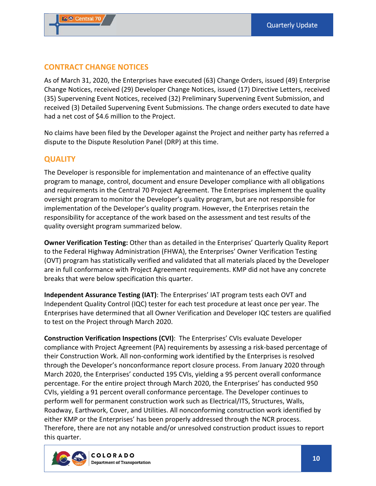# **CONTRACT CHANGE NOTICES**

As of March 31, 2020, the Enterprises have executed (63) Change Orders, issued (49) Enterprise Change Notices, received (29) Developer Change Notices, issued (17) Directive Letters, received (35) Supervening Event Notices, received (32) Preliminary Supervening Event Submission, and received (3) Detailed Supervening Event Submissions. The change orders executed to date have had a net cost of \$4.6 million to the Project.

No claims have been filed by the Developer against the Project and neither party has referred a dispute to the Dispute Resolution Panel (DRP) at this time.

# **QUALITY**

The Developer is responsible for implementation and maintenance of an effective quality program to manage, control, document and ensure Developer compliance with all obligations and requirements in the Central 70 Project Agreement. The Enterprises implement the quality oversight program to monitor the Developer's quality program, but are not responsible for implementation of the Developer's quality program. However, the Enterprises retain the responsibility for acceptance of the work based on the assessment and test results of the quality oversight program summarized below.

**Owner Verification Testing:** Other than as detailed in the Enterprises' Quarterly Quality Report to the Federal Highway Administration (FHWA), the Enterprises' Owner Verification Testing (OVT) program has statistically verified and validated that all materials placed by the Developer are in full conformance with Project Agreement requirements. KMP did not have any concrete breaks that were below specification this quarter.

**Independent Assurance Testing (IAT)**: The Enterprises' IAT program tests each OVT and Independent Quality Control (IQC) tester for each test procedure at least once per year. The Enterprises have determined that all Owner Verification and Developer IQC testers are qualified to test on the Project through March 2020.

**Construction Verification Inspections (CVI)**: The Enterprises' CVIs evaluate Developer compliance with Project Agreement (PA) requirements by assessing a risk‐based percentage of their Construction Work. All non‐conforming work identified by the Enterprises is resolved through the Developer's nonconformance report closure process. From January 2020 through March 2020, the Enterprises' conducted 195 CVIs, yielding a 95 percent overall conformance percentage. For the entire project through March 2020, the Enterprises' has conducted 950 CVIs, yielding a 91 percent overall conformance percentage. The Developer continues to perform well for permanent construction work such as Electrical/ITS, Structures, Walls, Roadway, Earthwork, Cover, and Utilities. All nonconforming construction work identified by either KMP or the Enterprises' has been properly addressed through the NCR process. Therefore, there are not any notable and/or unresolved construction product issues to report this quarter.

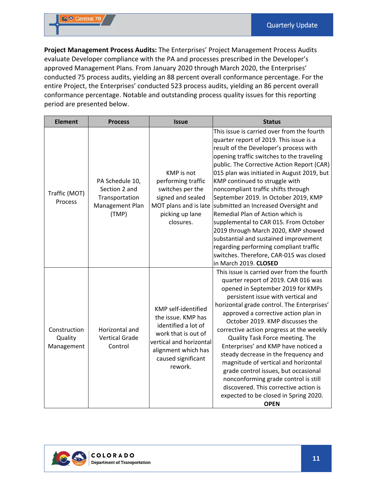**Project Management Process Audits:** The Enterprises' Project Management Process Audits evaluate Developer compliance with the PA and processes prescribed in the Developer's approved Management Plans. From January 2020 through March 2020, the Enterprises' conducted 75 process audits, yielding an 88 percent overall conformance percentage. For the entire Project, the Enterprises' conducted 523 process audits, yielding an 86 percent overall conformance percentage. Notable and outstanding process quality issues for this reporting period are presented below.

| <b>Element</b>                        | <b>Process</b>                                                                 | <b>Issue</b>                                                                                                                                                               | <b>Status</b>                                                                                                                                                                                                                                                                                                                                                                                                                                                                                                                                                                                                                                                                                                |
|---------------------------------------|--------------------------------------------------------------------------------|----------------------------------------------------------------------------------------------------------------------------------------------------------------------------|--------------------------------------------------------------------------------------------------------------------------------------------------------------------------------------------------------------------------------------------------------------------------------------------------------------------------------------------------------------------------------------------------------------------------------------------------------------------------------------------------------------------------------------------------------------------------------------------------------------------------------------------------------------------------------------------------------------|
| Traffic (MOT)<br>Process              | PA Schedule 10,<br>Section 2 and<br>Transportation<br>Management Plan<br>(TMP) | <b>KMP</b> is not<br>performing traffic<br>switches per the<br>signed and sealed<br>MOT plans and is late<br>picking up lane<br>closures.                                  | This issue is carried over from the fourth<br>quarter report of 2019. This issue is a<br>result of the Developer's process with<br>opening traffic switches to the traveling<br>public. The Corrective Action Report (CAR)<br>015 plan was initiated in August 2019, but<br>KMP continued to struggle with<br>noncompliant traffic shifts through<br>September 2019. In October 2019, KMP<br>submitted an Increased Oversight and<br>Remedial Plan of Action which is<br>supplemental to CAR 015. From October<br>2019 through March 2020, KMP showed<br>substantial and sustained improvement<br>regarding performing compliant traffic<br>switches. Therefore, CAR-015 was closed<br>in March 2019. CLOSED |
| Construction<br>Quality<br>Management | Horizontal and<br><b>Vertical Grade</b><br>Control                             | KMP self-identified<br>the issue. KMP has<br>identified a lot of<br>work that is out of<br>vertical and horizontal<br>alignment which has<br>caused significant<br>rework. | This issue is carried over from the fourth<br>quarter report of 2019. CAR 016 was<br>opened in September 2019 for KMPs<br>persistent issue with vertical and<br>horizontal grade control. The Enterprises'<br>approved a corrective action plan in<br>October 2019. KMP discusses the<br>corrective action progress at the weekly<br>Quality Task Force meeting. The<br>Enterprises' and KMP have noticed a<br>steady decrease in the frequency and<br>magnitude of vertical and horizontal<br>grade control issues, but occasional<br>nonconforming grade control is still<br>discovered. This corrective action is<br>expected to be closed in Spring 2020.<br><b>OPEN</b>                                 |

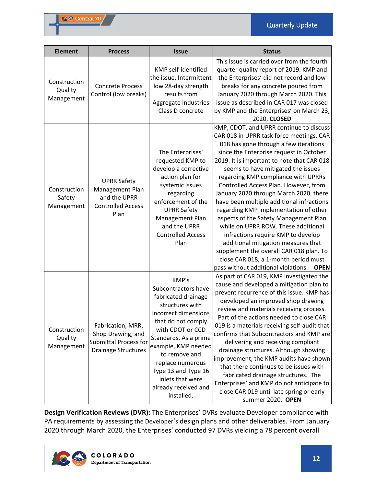| <b>Element</b>                        | <b>Process</b>                                                                                       | <b>Issue</b>                                                                                                                                                                                                                                                                                                   | <b>Status</b>                                                                                                                                                                                                                                                                                                                                                                                                                                                                                                                                                                                                                                                                                                                                                                     |
|---------------------------------------|------------------------------------------------------------------------------------------------------|----------------------------------------------------------------------------------------------------------------------------------------------------------------------------------------------------------------------------------------------------------------------------------------------------------------|-----------------------------------------------------------------------------------------------------------------------------------------------------------------------------------------------------------------------------------------------------------------------------------------------------------------------------------------------------------------------------------------------------------------------------------------------------------------------------------------------------------------------------------------------------------------------------------------------------------------------------------------------------------------------------------------------------------------------------------------------------------------------------------|
| Construction<br>Quality<br>Management | <b>Concrete Process</b><br>Control (low breaks)                                                      | KMP self-identified<br>the issue. Intermittent<br>low 28-day strength<br>results from<br>Aggregate Industries<br>Class D concrete                                                                                                                                                                              | This issue is carried over from the fourth<br>quarter quality report of 2019. KMP and<br>the Enterprises' did not record and low<br>breaks for any concrete poured from<br>January 2020 through March 2020. This<br>issue as described in CAR 017 was closed<br>by KMP and the Enterprises' on March 23,<br>2020. CLOSED                                                                                                                                                                                                                                                                                                                                                                                                                                                          |
| Construction<br>Safety<br>Management  | <b>UPRR Safety</b><br>Management Plan<br>and the UPRR<br><b>Controlled Access</b><br>Plan            | The Enterprises'<br>requested KMP to<br>develop a corrective<br>action plan for<br>systemic issues<br>regarding<br>enforcement of the<br><b>UPRR Safety</b><br>Management Plan<br>and the UPRR<br><b>Controlled Access</b><br>Plan                                                                             | KMP, CDOT, and UPRR continue to discuss<br>CAR 018 in UPRR task force meetings. CAR<br>018 has gone through a few iterations<br>since the Enterprise request in October<br>2019. It is important to note that CAR 018<br>seems to have mitigated the issues<br>regarding KMP compliance with UPRRs<br>Controlled Access Plan. However, from<br>January 2020 through March 2020, there<br>have been multiple additional infractions<br>regarding KMP implementation of other<br>aspects of the Safety Management Plan<br>while on UPRR ROW. These additional<br>infractions require KMP to develop<br>additional mitigation measures that<br>supplement the overall CAR 018 plan. To<br>close CAR 018, a 1-month period must<br>pass without additional violations.<br><b>OPEN</b> |
| Construction<br>Quality<br>Management | Fabrication, MRR,<br>Shop Drawing, and<br><b>Submittal Process for</b><br><b>Drainage Structures</b> | KMP's<br>Subcontractors have<br>fabricated drainage<br>structures with<br>incorrect dimensions<br>that do not comply<br>with CDOT or CCD<br>Standards. As a prime<br>example, KMP needed<br>to remove and<br>replace numerous<br>Type 13 and Type 16<br>inlets that were<br>already received and<br>installed. | As part of CAR 019, KMP investigated the<br>cause and developed a mitigation plan to<br>prevent recurrence of this issue. KMP has<br>developed an improved shop drawing<br>review and materials receiving process.<br>Part of the actions needed to close CAR<br>019 is a materials receiving self-audit that<br>confirms that Subcontractors and KMP are<br>delivering and receiving compliant<br>drainage structures. Although showing<br>improvement, the KMP audits have shown<br>that there continues to be issues with<br>fabricated drainage structures. The<br>Enterprises' and KMP do not anticipate to<br>close CAR 019 until late spring or early<br>summer 2020. OPEN                                                                                                 |

**Design Verification Reviews (DVR):** The Enterprises' DVRs evaluate Developer compliance with PA requirements by assessing the Developer's design plans and other deliverables. From January 2020 through March 2020, the Enterprises' conducted 97 DVRs yielding a 78 percent overall

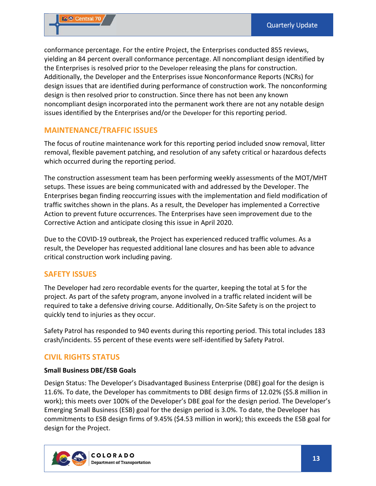conformance percentage. For the entire Project, the Enterprises conducted 855 reviews, yielding an 84 percent overall conformance percentage. All noncompliant design identified by the Enterprises is resolved prior to the Developer releasing the plans for construction. Additionally, the Developer and the Enterprises issue Nonconformance Reports (NCRs) for design issues that are identified during performance of construction work. The nonconforming design is then resolved prior to construction. Since there has not been any known noncompliant design incorporated into the permanent work there are not any notable design issues identified by the Enterprises and/or the Developer for this reporting period.

# **MAINTENANCE/TRAFFIC ISSUES**

The focus of routine maintenance work for this reporting period included snow removal, litter removal, flexible pavement patching, and resolution of any safety critical or hazardous defects which occurred during the reporting period.

The construction assessment team has been performing weekly assessments of the MOT/MHT setups. These issues are being communicated with and addressed by the Developer. The Enterprises began finding reoccurring issues with the implementation and field modification of traffic switches shown in the plans. As a result, the Developer has implemented a Corrective Action to prevent future occurrences. The Enterprises have seen improvement due to the Corrective Action and anticipate closing this issue in April 2020.

Due to the COVID‐19 outbreak, the Project has experienced reduced traffic volumes. As a result, the Developer has requested additional lane closures and has been able to advance critical construction work including paving.

#### **SAFETY ISSUES**

The Developer had zero recordable events for the quarter, keeping the total at 5 for the project. As part of the safety program, anyone involved in a traffic related incident will be required to take a defensive driving course. Additionally, On‐Site Safety is on the project to quickly tend to injuries as they occur.

Safety Patrol has responded to 940 events during this reporting period. This total includes 183 crash/incidents. 55 percent of these events were self‐identified by Safety Patrol.

# **CIVIL RIGHTS STATUS**

#### **Small Business DBE/ESB Goals**

Design Status: The Developer's Disadvantaged Business Enterprise (DBE) goal for the design is 11.6%. To date, the Developer has commitments to DBE design firms of 12.02% (\$5.8 million in work); this meets over 100% of the Developer's DBE goal for the design period. The Developer's Emerging Small Business (ESB) goal for the design period is 3.0%. To date, the Developer has commitments to ESB design firms of 9.45% (\$4.53 million in work); this exceeds the ESB goal for design for the Project.

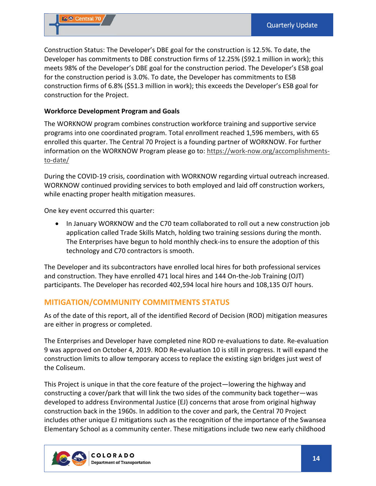Construction Status: The Developer's DBE goal for the construction is 12.5%. To date, the Developer has commitments to DBE construction firms of 12.25% (\$92.1 million in work); this meets 98% of the Developer's DBE goal for the construction period. The Developer's ESB goal for the construction period is 3.0%. To date, the Developer has commitments to ESB construction firms of 6.8% (\$51.3 million in work); this exceeds the Developer's ESB goal for construction for the Project.

#### **Workforce Development Program and Goals**

The WORKNOW program combines construction workforce training and supportive service programs into one coordinated program. Total enrollment reached 1,596 members, with 65 enrolled this quarter. The Central 70 Project is a founding partner of WORKNOW. For further information on the WORKNOW Program please go to: https://work‐now.org/accomplishments‐ to‐date/

During the COVID‐19 crisis, coordination with WORKNOW regarding virtual outreach increased. WORKNOW continued providing services to both employed and laid off construction workers, while enacting proper health mitigation measures.

One key event occurred this quarter:

• In January WORKNOW and the C70 team collaborated to roll out a new construction job application called Trade Skills Match, holding two training sessions during the month. The Enterprises have begun to hold monthly check‐ins to ensure the adoption of this technology and C70 contractors is smooth.

The Developer and its subcontractors have enrolled local hires for both professional services and construction. They have enrolled 471 local hires and 144 On-the-Job Training (OJT) participants. The Developer has recorded 402,594 local hire hours and 108,135 OJT hours.

#### **MITIGATION/COMMUNITY COMMITMENTS STATUS**

As of the date of this report, all of the identified Record of Decision (ROD) mitigation measures are either in progress or completed.

The Enterprises and Developer have completed nine ROD re‐evaluations to date. Re‐evaluation 9 was approved on October 4, 2019. ROD Re‐evaluation 10 is still in progress. It will expand the construction limits to allow temporary access to replace the existing sign bridges just west of the Coliseum.

This Project is unique in that the core feature of the project—lowering the highway and constructing a cover/park that will link the two sides of the community back together—was developed to address Environmental Justice (EJ) concerns that arose from original highway construction back in the 1960s. In addition to the cover and park, the Central 70 Project includes other unique EJ mitigations such as the recognition of the importance of the Swansea Elementary School as a community center. These mitigations include two new early childhood

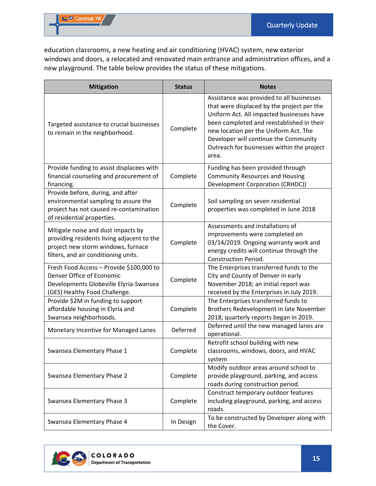education classrooms, a new heating and air conditioning (HVAC) system, new exterior windows and doors, a relocated and renovated main entrance and administration offices, and a new playground. The table below provides the status of these mitigations.

| <b>Mitigation</b>                                                                                                                                              | <b>Status</b> | <b>Notes</b>                                                                                                                                                                                                                                                                                                               |
|----------------------------------------------------------------------------------------------------------------------------------------------------------------|---------------|----------------------------------------------------------------------------------------------------------------------------------------------------------------------------------------------------------------------------------------------------------------------------------------------------------------------------|
| Targeted assistance to crucial businesses<br>to remain in the neighborhood.                                                                                    | Complete      | Assistance was provided to all businesses<br>that were displaced by the project per the<br>Uniform Act. All impacted businesses have<br>been completed and reestablished in their<br>new location per the Uniform Act. The<br>Developer will continue the Community<br>Outreach for businesses within the project<br>area. |
| Provide funding to assist displacees with<br>financial counseling and procurement of<br>financing.                                                             | Complete      | Funding has been provided through<br><b>Community Resources and Housing</b><br>Development Corporation (CRHDC))                                                                                                                                                                                                            |
| Provide before, during, and after<br>environmental sampling to assure the<br>project has not caused re-contamination<br>of residential properties.             | Complete      | Soil sampling on seven residential<br>properties was completed in June 2018                                                                                                                                                                                                                                                |
| Mitigate noise and dust impacts by<br>providing residents living adjacent to the<br>project new storm windows, furnace<br>filters, and air conditioning units. | Complete      | Assessments and installations of<br>improvements were completed on<br>03/14/2019. Ongoing warranty work and<br>energy credits will continue through the<br><b>Construction Period.</b>                                                                                                                                     |
| Fresh Food Access - Provide \$100,000 to<br>Denver Office of Economic<br>Developments Globeville Elyria-Swansea<br>(GES) Healthy Food Challenge.               | Complete      | The Enterprises transferred funds to the<br>City and County of Denver in early<br>November 2018; an initial report was<br>received by the Enterprises in July 2019.                                                                                                                                                        |
| Provide \$2M in funding to support<br>affordable housing in Elyria and<br>Swansea neighborhoods.                                                               | Complete      | The Enterprises transferred funds to<br>Brothers Redevelopment in late November<br>2018; quarterly reports began in 2019.                                                                                                                                                                                                  |
| Monetary Incentive for Managed Lanes                                                                                                                           | Deferred      | Deferred until the new managed lanes are<br>operational.                                                                                                                                                                                                                                                                   |
| Swansea Elementary Phase 1                                                                                                                                     | Complete      | Retrofit school building with new<br>classrooms, windows, doors, and HVAC<br>system                                                                                                                                                                                                                                        |
| Swansea Elementary Phase 2                                                                                                                                     | Complete      | Modify outdoor areas around school to<br>provide playground, parking, and access<br>roads during construction period.                                                                                                                                                                                                      |
| Swansea Elementary Phase 3                                                                                                                                     | Complete      | Construct temporary outdoor features<br>including playground, parking, and access<br>roads.                                                                                                                                                                                                                                |
| Swansea Elementary Phase 4                                                                                                                                     | In Design     | To be constructed by Developer along with<br>the Cover.                                                                                                                                                                                                                                                                    |